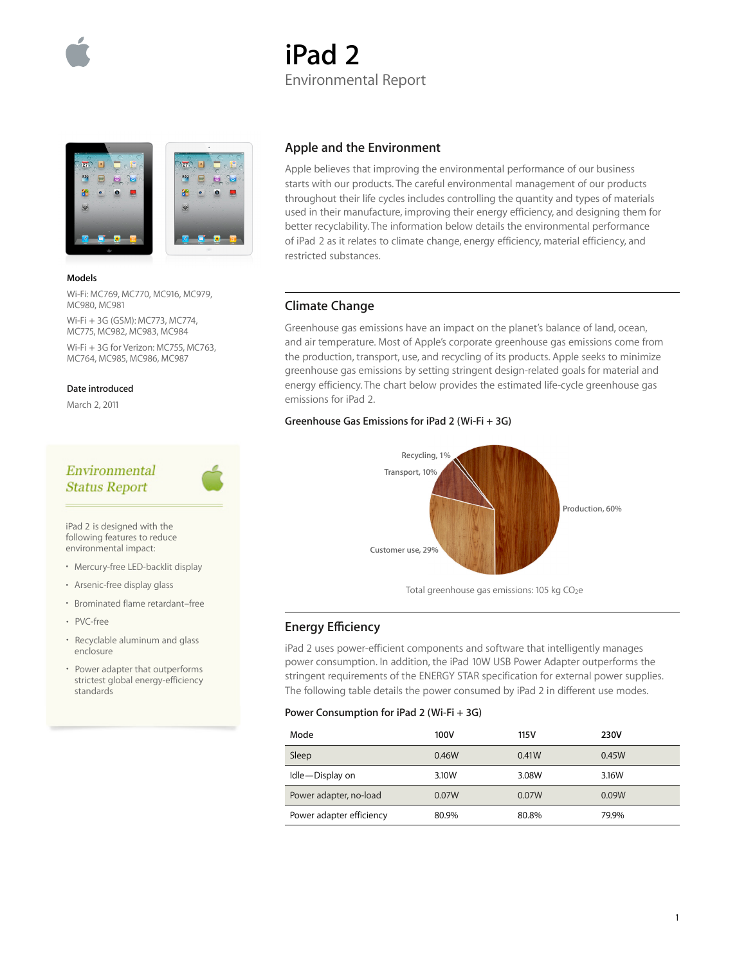

# **iPad 2** Environmental Report



#### **Models**

Wi-Fi: MC769, MC770, MC916, MC979, MC980, MC981

Wi-Fi + 3G (GSM): MC773, MC774, MC775, MC982, MC983, MC984 Wi-Fi + 3G for Verizon: MC755, MC763, MC764, MC985, MC986, MC987

#### **Date introduced**

March 2, 2011

# Environmental **Status Report**



iPad 2 is designed with the following features to reduce environmental impact:

- Mercury-free LED-backlit display
- Arsenic-free display glass
- Brominated flame retardant–free
- PVC-free
- Recyclable aluminum and glass enclosure
- Power adapter that outperforms strictest global energy-efficiency standards

### **Apple and the Environment**

Apple believes that improving the environmental performance of our business starts with our products. The careful environmental management of our products throughout their life cycles includes controlling the quantity and types of materials used in their manufacture, improving their energy efficiency, and designing them for better recyclability. The information below details the environmental performance of iPad 2 as it relates to climate change, energy efficiency, material efficiency, and restricted substances.

### **Climate Change**

Greenhouse gas emissions have an impact on the planet's balance of land, ocean, and air temperature. Most of Apple's corporate greenhouse gas emissions come from the production, transport, use, and recycling of its products. Apple seeks to minimize greenhouse gas emissions by setting stringent design-related goals for material and energy efficiency. The chart below provides the estimated life-cycle greenhouse gas emissions for iPad 2.

### **Greenhouse Gas Emissions for iPad 2 (Wi-Fi + 3G)**



Total greenhouse gas emissions: 105 kg CO<sub>2</sub>e

### **Energy Efficiency**

iPad 2 uses power-efficient components and software that intelligently manages power consumption. In addition, the iPad 10W USB Power Adapter outperforms the stringent requirements of the ENERGY STAR specification for external power supplies. The following table details the power consumed by iPad 2 in different use modes.

#### **Power Consumption for iPad 2 (Wi-Fi + 3G)**

| Mode                     | 100V  | 115 V | 230V  |
|--------------------------|-------|-------|-------|
| Sleep                    | 0.46W | 0.41W | 0.45W |
| Idle-Display on          | 3.10W | 3.08W | 3.16W |
| Power adapter, no-load   | 0.07W | 0.07W | 0.09W |
| Power adapter efficiency | 80.9% | 80.8% | 79.9% |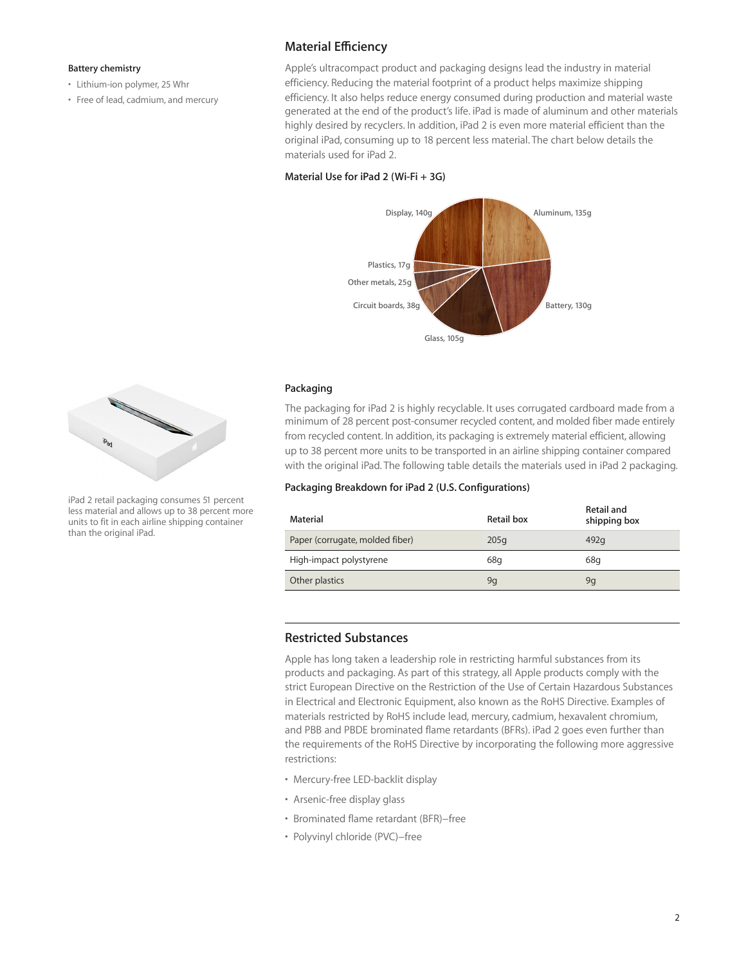#### **Battery chemistry**

- Lithium-ion polymer, 25 Whr
- Free of lead, cadmium, and mercury

## **Material Efficiency**

Apple's ultracompact product and packaging designs lead the industry in material efficiency. Reducing the material footprint of a product helps maximize shipping efficiency. It also helps reduce energy consumed during production and material waste generated at the end of the product's life. iPad is made of aluminum and other materials highly desired by recyclers. In addition, iPad 2 is even more material efficient than the original iPad, consuming up to 18 percent less material. The chart below details the materials used for iPad 2.

### **Material Use for iPad 2 (Wi-Fi + 3G)**



### **Packaging**

The packaging for iPad 2 is highly recyclable. It uses corrugated cardboard made from a minimum of 28 percent post-consumer recycled content, and molded fiber made entirely from recycled content. In addition, its packaging is extremely material efficient, allowing up to 38 percent more units to be transported in an airline shipping container compared with the original iPad. The following table details the materials used in iPad 2 packaging.

### **Packaging Breakdown for iPad 2 (U.S. Configurations)**

| Material                        | Retail box | Retail and<br>shipping box |
|---------------------------------|------------|----------------------------|
| Paper (corrugate, molded fiber) | 205q       | 492q                       |
| High-impact polystyrene         | 68g        | 68q                        |
| Other plastics                  | 9q         | 9q                         |

### **Restricted Substances**

Apple has long taken a leadership role in restricting harmful substances from its products and packaging. As part of this strategy, all Apple products comply with the strict European Directive on the Restriction of the Use of Certain Hazardous Substances in Electrical and Electronic Equipment, also known as the RoHS Directive. Examples of materials restricted by RoHS include lead, mercury, cadmium, hexavalent chromium, and PBB and PBDE brominated flame retardants (BFRs). iPad 2 goes even further than the requirements of the RoHS Directive by incorporating the following more aggressive restrictions:

- Mercury-free LED-backlit display
- Arsenic-free display glass
- Brominated flame retardant (BFR)−free
- Polyvinyl chloride (PVC)−free



iPad 2 retail packaging consumes 51 percent less material and allows up to 38 percent more units to fit in each airline shipping container than the original iPad.